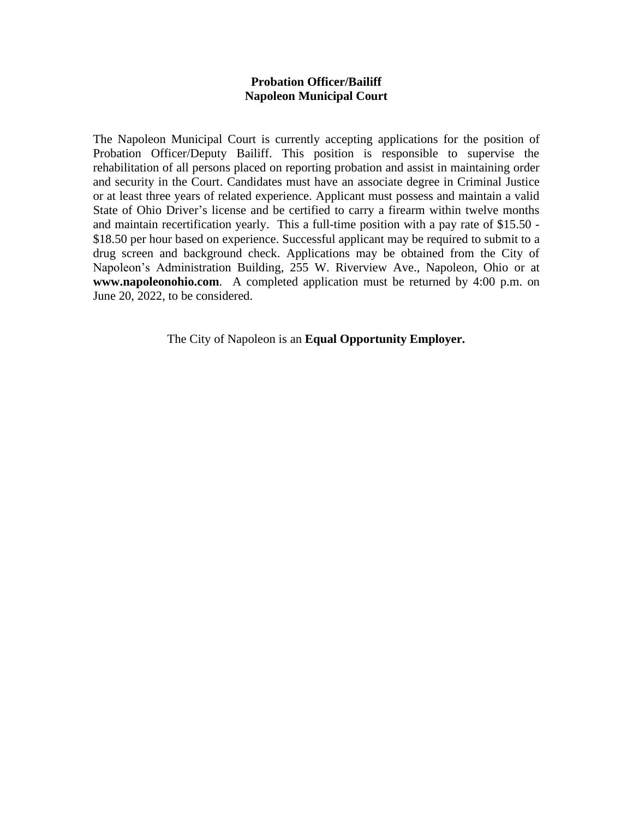#### **Probation Officer/Bailiff Napoleon Municipal Court**

The Napoleon Municipal Court is currently accepting applications for the position of Probation Officer/Deputy Bailiff. This position is responsible to supervise the rehabilitation of all persons placed on reporting probation and assist in maintaining order and security in the Court. Candidates must have an associate degree in Criminal Justice or at least three years of related experience. Applicant must possess and maintain a valid State of Ohio Driver's license and be certified to carry a firearm within twelve months and maintain recertification yearly. This a full-time position with a pay rate of \$15.50 - \$18.50 per hour based on experience. Successful applicant may be required to submit to a drug screen and background check. Applications may be obtained from the City of Napoleon's Administration Building, 255 W. Riverview Ave., Napoleon, Ohio or at **www.napoleonohio.com**. A completed application must be returned by 4:00 p.m. on June 20, 2022, to be considered.

The City of Napoleon is an **Equal Opportunity Employer.**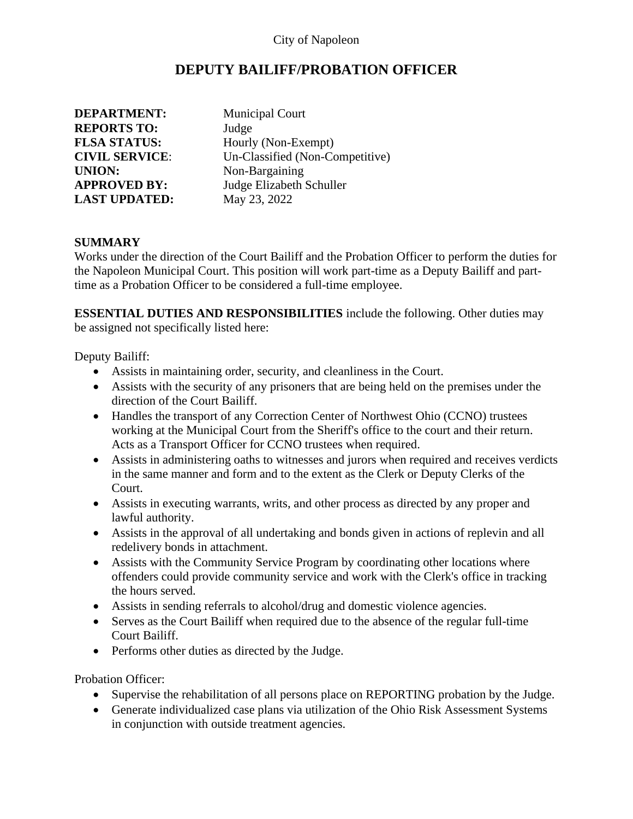## **DEPUTY BAILIFF/PROBATION OFFICER**

| <b>DEPARTMENT:</b>    | <b>Municipal Court</b>          |
|-----------------------|---------------------------------|
| <b>REPORTS TO:</b>    | Judge                           |
| <b>FLSA STATUS:</b>   | Hourly (Non-Exempt)             |
| <b>CIVIL SERVICE:</b> | Un-Classified (Non-Competitive) |
| <b>UNION:</b>         | Non-Bargaining                  |
| <b>APPROVED BY:</b>   | Judge Elizabeth Schuller        |
| <b>LAST UPDATED:</b>  | May 23, 2022                    |
|                       |                                 |

#### **SUMMARY**

Works under the direction of the Court Bailiff and the Probation Officer to perform the duties for the Napoleon Municipal Court. This position will work part-time as a Deputy Bailiff and parttime as a Probation Officer to be considered a full-time employee.

**ESSENTIAL DUTIES AND RESPONSIBILITIES** include the following. Other duties may be assigned not specifically listed here:

Deputy Bailiff:

- Assists in maintaining order, security, and cleanliness in the Court.
- Assists with the security of any prisoners that are being held on the premises under the direction of the Court Bailiff.
- Handles the transport of any Correction Center of Northwest Ohio (CCNO) trustees working at the Municipal Court from the Sheriff's office to the court and their return. Acts as a Transport Officer for CCNO trustees when required.
- Assists in administering oaths to witnesses and jurors when required and receives verdicts in the same manner and form and to the extent as the Clerk or Deputy Clerks of the Court.
- Assists in executing warrants, writs, and other process as directed by any proper and lawful authority.
- Assists in the approval of all undertaking and bonds given in actions of replevin and all redelivery bonds in attachment.
- Assists with the Community Service Program by coordinating other locations where offenders could provide community service and work with the Clerk's office in tracking the hours served.
- Assists in sending referrals to alcohol/drug and domestic violence agencies.
- Serves as the Court Bailiff when required due to the absence of the regular full-time Court Bailiff.
- Performs other duties as directed by the Judge.

Probation Officer:

- Supervise the rehabilitation of all persons place on REPORTING probation by the Judge.
- Generate individualized case plans via utilization of the Ohio Risk Assessment Systems in conjunction with outside treatment agencies.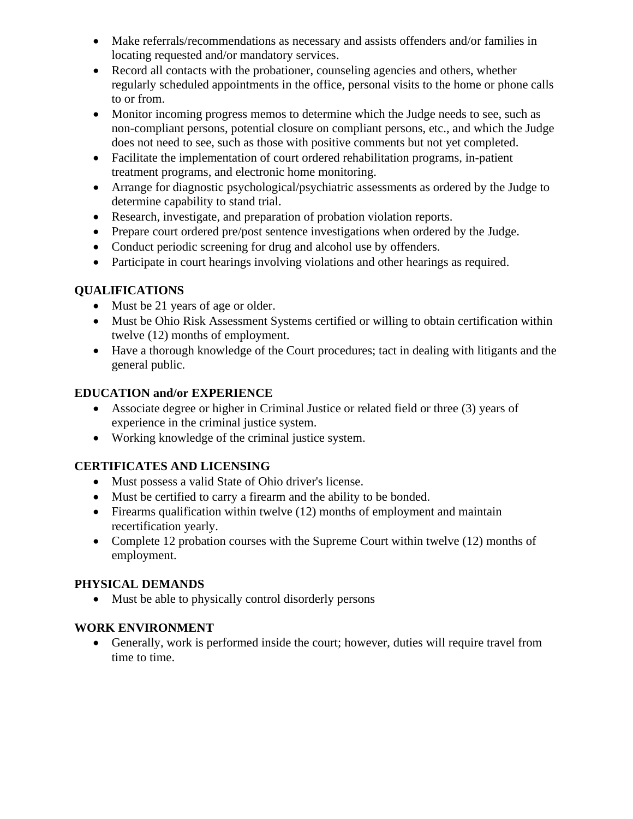- Make referrals/recommendations as necessary and assists offenders and/or families in locating requested and/or mandatory services.
- Record all contacts with the probationer, counseling agencies and others, whether regularly scheduled appointments in the office, personal visits to the home or phone calls to or from.
- Monitor incoming progress memos to determine which the Judge needs to see, such as non-compliant persons, potential closure on compliant persons, etc., and which the Judge does not need to see, such as those with positive comments but not yet completed.
- Facilitate the implementation of court ordered rehabilitation programs, in-patient treatment programs, and electronic home monitoring.
- Arrange for diagnostic psychological/psychiatric assessments as ordered by the Judge to determine capability to stand trial.
- Research, investigate, and preparation of probation violation reports.
- Prepare court ordered pre/post sentence investigations when ordered by the Judge.
- Conduct periodic screening for drug and alcohol use by offenders.
- Participate in court hearings involving violations and other hearings as required.

## **QUALIFICATIONS**

- Must be 21 years of age or older.
- Must be Ohio Risk Assessment Systems certified or willing to obtain certification within twelve (12) months of employment.
- Have a thorough knowledge of the Court procedures; tact in dealing with litigants and the general public.

## **EDUCATION and/or EXPERIENCE**

- Associate degree or higher in Criminal Justice or related field or three (3) years of experience in the criminal justice system.
- Working knowledge of the criminal justice system.

## **CERTIFICATES AND LICENSING**

- Must possess a valid State of Ohio driver's license.
- Must be certified to carry a firearm and the ability to be bonded.
- Firearms qualification within twelve (12) months of employment and maintain recertification yearly.
- Complete 12 probation courses with the Supreme Court within twelve (12) months of employment.

## **PHYSICAL DEMANDS**

• Must be able to physically control disorderly persons

#### **WORK ENVIRONMENT**

• Generally, work is performed inside the court; however, duties will require travel from time to time.